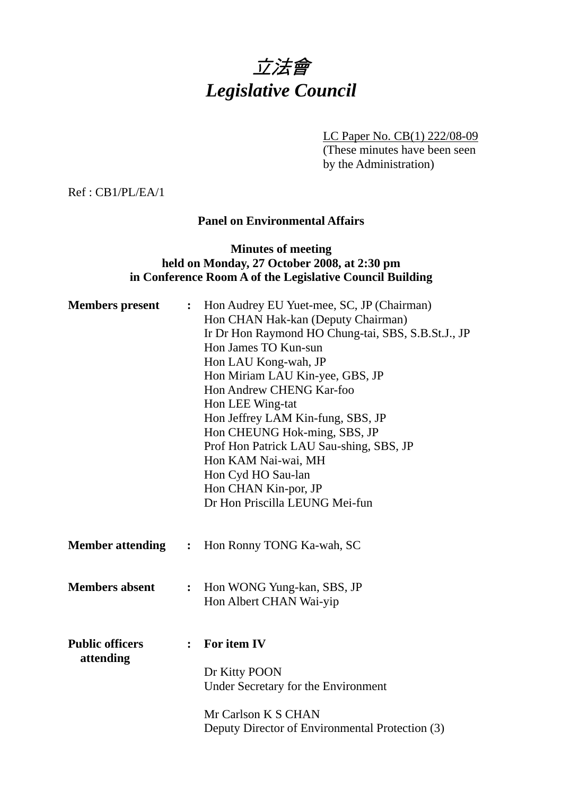

LC Paper No. CB(1) 222/08-09

(These minutes have been seen by the Administration)

Ref : CB1/PL/EA/1

## **Panel on Environmental Affairs**

# **Minutes of meeting held on Monday, 27 October 2008, at 2:30 pm in Conference Room A of the Legislative Council Building**

| <b>Members</b> present              | $\ddot{\bullet}$ | Hon Audrey EU Yuet-mee, SC, JP (Chairman)<br>Hon CHAN Hak-kan (Deputy Chairman)<br>Ir Dr Hon Raymond HO Chung-tai, SBS, S.B.St.J., JP<br>Hon James TO Kun-sun<br>Hon LAU Kong-wah, JP<br>Hon Miriam LAU Kin-yee, GBS, JP<br>Hon Andrew CHENG Kar-foo<br>Hon LEE Wing-tat<br>Hon Jeffrey LAM Kin-fung, SBS, JP<br>Hon CHEUNG Hok-ming, SBS, JP<br>Prof Hon Patrick LAU Sau-shing, SBS, JP<br>Hon KAM Nai-wai, MH<br>Hon Cyd HO Sau-lan<br>Hon CHAN Kin-por, JP<br>Dr Hon Priscilla LEUNG Mei-fun |
|-------------------------------------|------------------|-------------------------------------------------------------------------------------------------------------------------------------------------------------------------------------------------------------------------------------------------------------------------------------------------------------------------------------------------------------------------------------------------------------------------------------------------------------------------------------------------|
| <b>Member attending : :</b>         |                  | Hon Ronny TONG Ka-wah, SC                                                                                                                                                                                                                                                                                                                                                                                                                                                                       |
| <b>Members absent</b>               | $\ddot{\cdot}$   | Hon WONG Yung-kan, SBS, JP<br>Hon Albert CHAN Wai-yip                                                                                                                                                                                                                                                                                                                                                                                                                                           |
| <b>Public officers</b><br>attending | $\ddot{\cdot}$   | For item IV<br>Dr Kitty POON<br>Under Secretary for the Environment<br>Mr Carlson K S CHAN<br>Deputy Director of Environmental Protection (3)                                                                                                                                                                                                                                                                                                                                                   |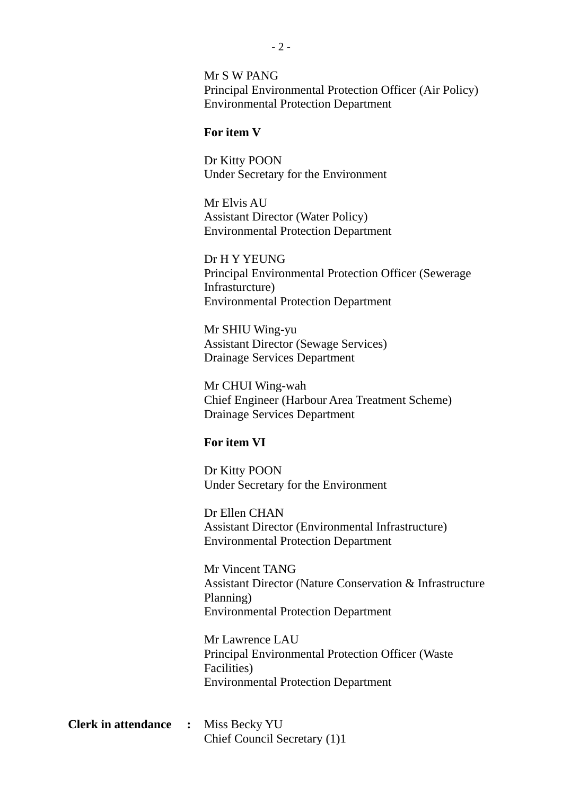Mr S W PANG Principal Environmental Protection Officer (Air Policy) Environmental Protection Department

#### **For item V**

Dr Kitty POON Under Secretary for the Environment

Mr Elvis AU Assistant Director (Water Policy) Environmental Protection Department

Dr H Y YEUNG Principal Environmental Protection Officer (Sewerage Infrasturcture) Environmental Protection Department

Mr SHIU Wing-yu Assistant Director (Sewage Services) Drainage Services Department

Mr CHUI Wing-wah Chief Engineer (Harbour Area Treatment Scheme) Drainage Services Department

#### **For item VI**

Dr Kitty POON Under Secretary for the Environment

Dr Ellen CHAN Assistant Director (Environmental Infrastructure) Environmental Protection Department

Mr Vincent TANG Assistant Director (Nature Conservation & Infrastructure Planning) Environmental Protection Department

Mr Lawrence LAU Principal Environmental Protection Officer (Waste Facilities) Environmental Protection Department

**Clerk in attendance :** Miss Becky YU Chief Council Secretary (1)1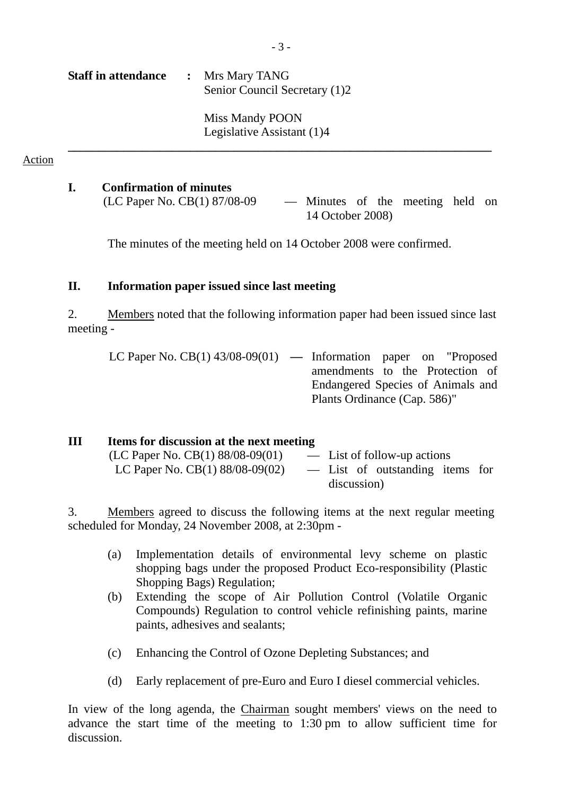| <b>Staff in attendance</b> | : Mrs Mary TANG<br>Senior Council Secretary (1)2 |
|----------------------------|--------------------------------------------------|
|                            | Miss Mandy POON<br>Legislative Assistant (1)4    |

#### Action

#### **I. Confirmation of minutes**

(LC Paper No. CB(1) 87/08-09 — Minutes of the meeting held on 14 October 2008)

The minutes of the meeting held on 14 October 2008 were confirmed.

**\_\_\_\_\_\_\_\_\_\_\_\_\_\_\_\_\_\_\_\_\_\_\_\_\_\_\_\_\_\_\_\_\_\_\_\_\_\_\_\_\_\_\_\_\_\_\_\_\_\_\_\_\_\_\_\_\_\_\_\_\_\_\_\_\_\_\_\_\_** 

## **II. Information paper issued since last meeting**

2. Members noted that the following information paper had been issued since last meeting -

| LC Paper No. $CB(1)$ 43/08-09(01) — Information paper on "Proposed |                              |                                   |
|--------------------------------------------------------------------|------------------------------|-----------------------------------|
|                                                                    |                              | amendments to the Protection of   |
|                                                                    |                              | Endangered Species of Animals and |
|                                                                    | Plants Ordinance (Cap. 586)" |                                   |

| Ш | Items for discussion at the next meeting |                                 |  |
|---|------------------------------------------|---------------------------------|--|
|   | (LC Paper No. CB(1) $88/08-09(01)$       | — List of follow-up actions     |  |
|   | LC Paper No. $CB(1) 88/08-09(02)$        | - List of outstanding items for |  |
|   |                                          | discussion)                     |  |

3. Members agreed to discuss the following items at the next regular meeting scheduled for Monday, 24 November 2008, at 2:30pm -

- (a) Implementation details of environmental levy scheme on plastic shopping bags under the proposed Product Eco-responsibility (Plastic Shopping Bags) Regulation;
- (b) Extending the scope of Air Pollution Control (Volatile Organic Compounds) Regulation to control vehicle refinishing paints, marine paints, adhesives and sealants;
- (c) Enhancing the Control of Ozone Depleting Substances; and
- (d) Early replacement of pre-Euro and Euro I diesel commercial vehicles.

In view of the long agenda, the Chairman sought members' views on the need to advance the start time of the meeting to 1:30 pm to allow sufficient time for discussion.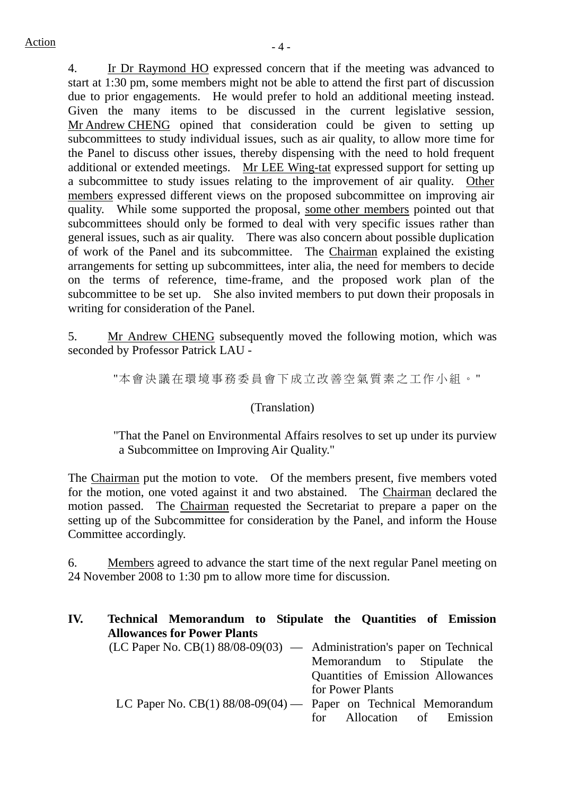4. Ir Dr Raymond HO expressed concern that if the meeting was advanced to start at 1:30 pm, some members might not be able to attend the first part of discussion due to prior engagements. He would prefer to hold an additional meeting instead. Given the many items to be discussed in the current legislative session, Mr Andrew CHENG opined that consideration could be given to setting up subcommittees to study individual issues, such as air quality, to allow more time for the Panel to discuss other issues, thereby dispensing with the need to hold frequent additional or extended meetings. Mr LEE Wing-tat expressed support for setting up a subcommittee to study issues relating to the improvement of air quality. Other members expressed different views on the proposed subcommittee on improving air quality. While some supported the proposal, some other members pointed out that subcommittees should only be formed to deal with very specific issues rather than general issues, such as air quality. There was also concern about possible duplication of work of the Panel and its subcommittee. The Chairman explained the existing arrangements for setting up subcommittees, inter alia, the need for members to decide on the terms of reference, time-frame, and the proposed work plan of the subcommittee to be set up. She also invited members to put down their proposals in writing for consideration of the Panel.

5. Mr Andrew CHENG subsequently moved the following motion, which was seconded by Professor Patrick LAU -

"本會決議在環境事務委員會下成立改 善空氣質素之工作小組。"

# (Translation)

"That the Panel on Environmental Affairs resolves to set up under its purview a Subcommittee on Improving Air Quality."

The Chairman put the motion to vote. Of the members present, five members voted for the motion, one voted against it and two abstained. The Chairman declared the motion passed. The Chairman requested the Secretariat to prepare a paper on the setting up of the Subcommittee for consideration by the Panel, and inform the House Committee accordingly.

6. Members agreed to advance the start time of the next regular Panel meeting on 24 November 2008 to 1:30 pm to allow more time for discussion.

| IV. | Technical Memorandum to Stipulate the Quantities of Emission<br><b>Allowances for Power Plants</b> |                                   |
|-----|----------------------------------------------------------------------------------------------------|-----------------------------------|
|     | $(LC$ Paper No. $CB(1)$ 88/08-09(03) — Administration's paper on Technical                         |                                   |
|     |                                                                                                    | Memorandum to Stipulate the       |
|     |                                                                                                    | Quantities of Emission Allowances |
|     |                                                                                                    | for Power Plants                  |
|     | LC Paper No. $CB(1)$ 88/08-09(04) — Paper on Technical Memorandum                                  |                                   |
|     |                                                                                                    | for Allocation of Emission        |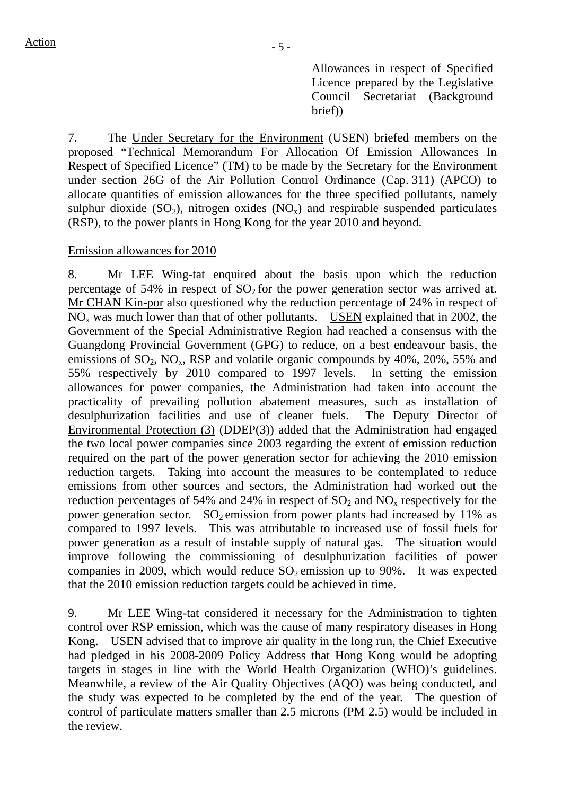Allowances in respect of Specified Licence prepared by the Legislative Council Secretariat (Background brief))

7. The Under Secretary for the Environment (USEN) briefed members on the proposed "Technical Memorandum For Allocation Of Emission Allowances In Respect of Specified Licence" (TM) to be made by the Secretary for the Environment under section 26G of the Air Pollution Control Ordinance (Cap. 311) (APCO) to allocate quantities of emission allowances for the three specified pollutants, namely sulphur dioxide  $(SO_2)$ , nitrogen oxides  $(NO_x)$  and respirable suspended particulates (RSP), to the power plants in Hong Kong for the year 2010 and beyond.

## Emission allowances for 2010

8. Mr LEE Wing-tat enquired about the basis upon which the reduction percentage of 54% in respect of  $SO<sub>2</sub>$  for the power generation sector was arrived at. Mr CHAN Kin-por also questioned why the reduction percentage of 24% in respect of NO<sub>x</sub> was much lower than that of other pollutants. USEN explained that in 2002, the Government of the Special Administrative Region had reached a consensus with the Guangdong Provincial Government (GPG) to reduce, on a best endeavour basis, the emissions of  $SO_2$ ,  $NO_x$ ,  $RSP$  and volatile organic compounds by 40%, 20%, 55% and 55% respectively by 2010 compared to 1997 levels. In setting the emission allowances for power companies, the Administration had taken into account the practicality of prevailing pollution abatement measures, such as installation of desulphurization facilities and use of cleaner fuels. The Deputy Director of Environmental Protection (3) (DDEP(3)) added that the Administration had engaged the two local power companies since 2003 regarding the extent of emission reduction required on the part of the power generation sector for achieving the 2010 emission reduction targets. Taking into account the measures to be contemplated to reduce emissions from other sources and sectors, the Administration had worked out the reduction percentages of 54% and 24% in respect of  $SO_2$  and  $NO<sub>x</sub>$  respectively for the power generation sector. SO<sub>2</sub> emission from power plants had increased by 11% as compared to 1997 levels. This was attributable to increased use of fossil fuels for power generation as a result of instable supply of natural gas. The situation would improve following the commissioning of desulphurization facilities of power companies in 2009, which would reduce  $SO_2$  emission up to 90%. It was expected that the 2010 emission reduction targets could be achieved in time.

9. Mr LEE Wing-tat considered it necessary for the Administration to tighten control over RSP emission, which was the cause of many respiratory diseases in Hong Kong. USEN advised that to improve air quality in the long run, the Chief Executive had pledged in his 2008-2009 Policy Address that Hong Kong would be adopting targets in stages in line with the World Health Organization (WHO)'s guidelines. Meanwhile, a review of the Air Quality Objectives (AQO) was being conducted, and the study was expected to be completed by the end of the year. The question of control of particulate matters smaller than 2.5 microns (PM 2.5) would be included in the review.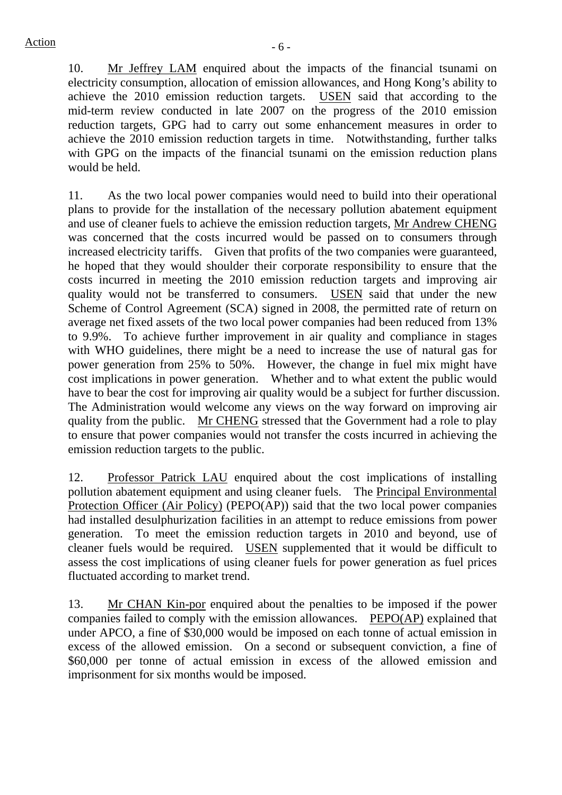10. Mr Jeffrey LAM enquired about the impacts of the financial tsunami on electricity consumption, allocation of emission allowances, and Hong Kong's ability to achieve the 2010 emission reduction targets. USEN said that according to the mid-term review conducted in late 2007 on the progress of the 2010 emission reduction targets, GPG had to carry out some enhancement measures in order to achieve the 2010 emission reduction targets in time. Notwithstanding, further talks with GPG on the impacts of the financial tsunami on the emission reduction plans would be held.

11. As the two local power companies would need to build into their operational plans to provide for the installation of the necessary pollution abatement equipment and use of cleaner fuels to achieve the emission reduction targets, Mr Andrew CHENG was concerned that the costs incurred would be passed on to consumers through increased electricity tariffs. Given that profits of the two companies were guaranteed, he hoped that they would shoulder their corporate responsibility to ensure that the costs incurred in meeting the 2010 emission reduction targets and improving air quality would not be transferred to consumers. USEN said that under the new Scheme of Control Agreement (SCA) signed in 2008, the permitted rate of return on average net fixed assets of the two local power companies had been reduced from 13% to 9.9%. To achieve further improvement in air quality and compliance in stages with WHO guidelines, there might be a need to increase the use of natural gas for power generation from 25% to 50%. However, the change in fuel mix might have cost implications in power generation. Whether and to what extent the public would have to bear the cost for improving air quality would be a subject for further discussion. The Administration would welcome any views on the way forward on improving air quality from the public. Mr CHENG stressed that the Government had a role to play to ensure that power companies would not transfer the costs incurred in achieving the emission reduction targets to the public.

12. Professor Patrick LAU enquired about the cost implications of installing pollution abatement equipment and using cleaner fuels. The Principal Environmental Protection Officer (Air Policy) (PEPO(AP)) said that the two local power companies had installed desulphurization facilities in an attempt to reduce emissions from power generation. To meet the emission reduction targets in 2010 and beyond, use of cleaner fuels would be required. USEN supplemented that it would be difficult to assess the cost implications of using cleaner fuels for power generation as fuel prices fluctuated according to market trend.

13. Mr CHAN Kin-por enquired about the penalties to be imposed if the power companies failed to comply with the emission allowances. PEPO(AP) explained that under APCO, a fine of \$30,000 would be imposed on each tonne of actual emission in excess of the allowed emission. On a second or subsequent conviction, a fine of \$60,000 per tonne of actual emission in excess of the allowed emission and imprisonment for six months would be imposed.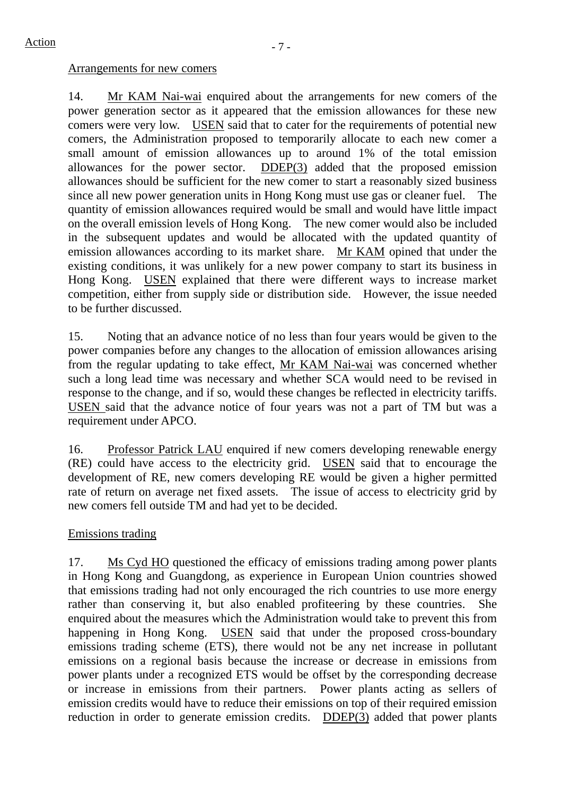## Arrangements for new comers

14. Mr KAM Nai-wai enquired about the arrangements for new comers of the power generation sector as it appeared that the emission allowances for these new comers were very low. USEN said that to cater for the requirements of potential new comers, the Administration proposed to temporarily allocate to each new comer a small amount of emission allowances up to around 1% of the total emission allowances for the power sector. DDEP(3) added that the proposed emission allowances should be sufficient for the new comer to start a reasonably sized business since all new power generation units in Hong Kong must use gas or cleaner fuel. The quantity of emission allowances required would be small and would have little impact on the overall emission levels of Hong Kong. The new comer would also be included in the subsequent updates and would be allocated with the updated quantity of emission allowances according to its market share. Mr KAM opined that under the existing conditions, it was unlikely for a new power company to start its business in Hong Kong. USEN explained that there were different ways to increase market competition, either from supply side or distribution side. However, the issue needed to be further discussed.

15. Noting that an advance notice of no less than four years would be given to the power companies before any changes to the allocation of emission allowances arising from the regular updating to take effect, Mr KAM Nai-wai was concerned whether such a long lead time was necessary and whether SCA would need to be revised in response to the change, and if so, would these changes be reflected in electricity tariffs. USEN said that the advance notice of four years was not a part of TM but was a requirement under APCO.

16. Professor Patrick LAU enquired if new comers developing renewable energy (RE) could have access to the electricity grid. USEN said that to encourage the development of RE, new comers developing RE would be given a higher permitted rate of return on average net fixed assets. The issue of access to electricity grid by new comers fell outside TM and had yet to be decided.

# Emissions trading

17. Ms Cyd HO questioned the efficacy of emissions trading among power plants in Hong Kong and Guangdong, as experience in European Union countries showed that emissions trading had not only encouraged the rich countries to use more energy rather than conserving it, but also enabled profiteering by these countries. She enquired about the measures which the Administration would take to prevent this from happening in Hong Kong. USEN said that under the proposed cross-boundary emissions trading scheme (ETS), there would not be any net increase in pollutant emissions on a regional basis because the increase or decrease in emissions from power plants under a recognized ETS would be offset by the corresponding decrease or increase in emissions from their partners. Power plants acting as sellers of emission credits would have to reduce their emissions on top of their required emission reduction in order to generate emission credits. DDEP(3) added that power plants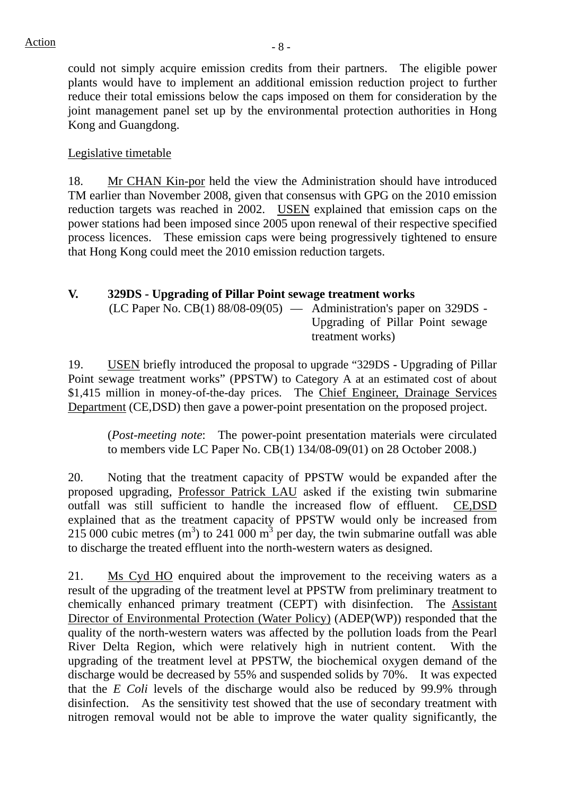could not simply acquire emission credits from their partners. The eligible power plants would have to implement an additional emission reduction project to further reduce their total emissions below the caps imposed on them for consideration by the joint management panel set up by the environmental protection authorities in Hong Kong and Guangdong.

## Legislative timetable

18. Mr CHAN Kin-por held the view the Administration should have introduced TM earlier than November 2008, given that consensus with GPG on the 2010 emission reduction targets was reached in 2002. USEN explained that emission caps on the power stations had been imposed since 2005 upon renewal of their respective specified process licences. These emission caps were being progressively tightened to ensure that Hong Kong could meet the 2010 emission reduction targets.

# **V. 329DS - Upgrading of Pillar Point sewage treatment works**

 $(LC$  Paper No.  $CB(1)$  88/08-09 $(05)$  — Administration's paper on 329DS -Upgrading of Pillar Point sewage treatment works)

19. USEN briefly introduced the proposal to upgrade "329DS **-** Upgrading of Pillar Point sewage treatment works" (PPSTW) to Category A at an estimated cost of about \$1,415 million in money-of-the-day prices. The Chief Engineer, Drainage Services Department (CE,DSD) then gave a power-point presentation on the proposed project.

(*Post-meeting note*: The power-point presentation materials were circulated to members vide LC Paper No. CB(1) 134/08-09(01) on 28 October 2008.)

20. Noting that the treatment capacity of PPSTW would be expanded after the proposed upgrading, Professor Patrick LAU asked if the existing twin submarine outfall was still sufficient to handle the increased flow of effluent. CE,DSD explained that as the treatment capacity of PPSTW would only be increased from 215 000 cubic metres  $(m^3)$  to 241 000  $m^3$  per day, the twin submarine outfall was able to discharge the treated effluent into the north-western waters as designed.

21. Ms Cyd HO enquired about the improvement to the receiving waters as a result of the upgrading of the treatment level at PPSTW from preliminary treatment to chemically enhanced primary treatment (CEPT) with disinfection. The Assistant Director of Environmental Protection (Water Policy) (ADEP(WP)) responded that the quality of the north-western waters was affected by the pollution loads from the Pearl River Delta Region, which were relatively high in nutrient content. With the upgrading of the treatment level at PPSTW, the biochemical oxygen demand of the discharge would be decreased by 55% and suspended solids by 70%. It was expected that the *E Coli* levels of the discharge would also be reduced by 99.9% through disinfection. As the sensitivity test showed that the use of secondary treatment with nitrogen removal would not be able to improve the water quality significantly, the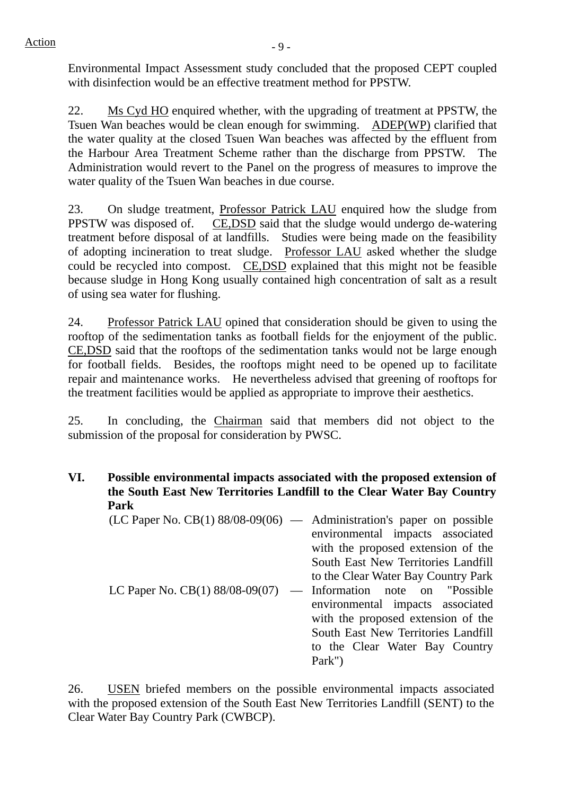Environmental Impact Assessment study concluded that the proposed CEPT coupled with disinfection would be an effective treatment method for PPSTW.

22. Ms Cyd HO enquired whether, with the upgrading of treatment at PPSTW, the Tsuen Wan beaches would be clean enough for swimming. ADEP(WP) clarified that the water quality at the closed Tsuen Wan beaches was affected by the effluent from the Harbour Area Treatment Scheme rather than the discharge from PPSTW. The Administration would revert to the Panel on the progress of measures to improve the water quality of the Tsuen Wan beaches in due course.

23. On sludge treatment, Professor Patrick LAU enquired how the sludge from PPSTW was disposed of. CE,DSD said that the sludge would undergo de-watering treatment before disposal of at landfills. Studies were being made on the feasibility of adopting incineration to treat sludge. Professor LAU asked whether the sludge could be recycled into compost. CE,DSD explained that this might not be feasible because sludge in Hong Kong usually contained high concentration of salt as a result of using sea water for flushing.

24. Professor Patrick LAU opined that consideration should be given to using the rooftop of the sedimentation tanks as football fields for the enjoyment of the public. CE,DSD said that the rooftops of the sedimentation tanks would not be large enough for football fields. Besides, the rooftops might need to be opened up to facilitate repair and maintenance works. He nevertheless advised that greening of rooftops for the treatment facilities would be applied as appropriate to improve their aesthetics.

25. In concluding, the Chairman said that members did not object to the submission of the proposal for consideration by PWSC.

**VI. Possible environmental impacts associated with the proposed extension of the South East New Territories Landfill to the Clear Water Bay Country Park** 

| $(LC$ Paper No. $CB(1)$ 88/08-09(06) — Administration's paper on possible |                                     |
|---------------------------------------------------------------------------|-------------------------------------|
|                                                                           | environmental impacts associated    |
|                                                                           | with the proposed extension of the  |
|                                                                           | South East New Territories Landfill |
|                                                                           | to the Clear Water Bay Country Park |
| LC Paper No. $CB(1) 88/08-09(07)$                                         | — Information note on "Possible"    |
|                                                                           | environmental impacts associated    |
|                                                                           | with the proposed extension of the  |
|                                                                           | South East New Territories Landfill |
|                                                                           | to the Clear Water Bay Country      |
|                                                                           | Park")                              |

26. USEN briefed members on the possible environmental impacts associated with the proposed extension of the South East New Territories Landfill (SENT) to the Clear Water Bay Country Park (CWBCP).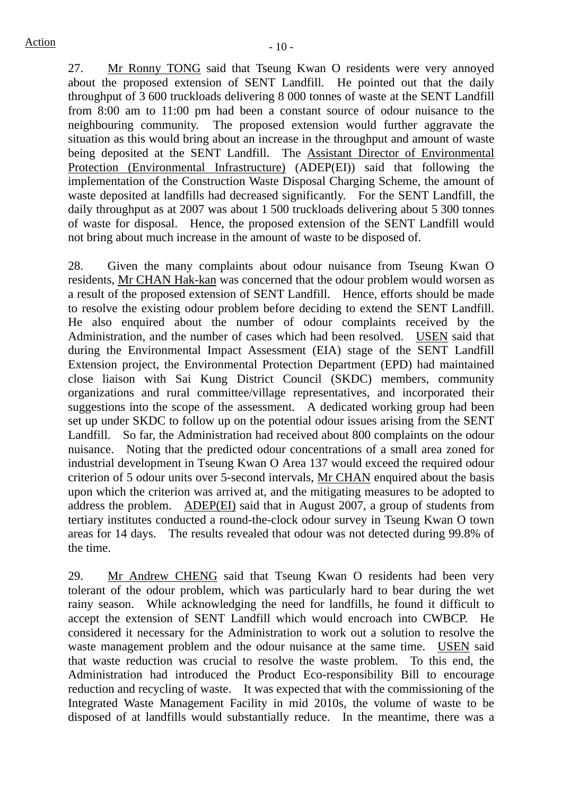27. Mr Ronny TONG said that Tseung Kwan O residents were very annoyed about the proposed extension of SENT Landfill. He pointed out that the daily throughput of 3 600 truckloads delivering 8 000 tonnes of waste at the SENT Landfill from 8:00 am to 11:00 pm had been a constant source of odour nuisance to the neighbouring community. The proposed extension would further aggravate the situation as this would bring about an increase in the throughput and amount of waste being deposited at the SENT Landfill. The Assistant Director of Environmental Protection (Environmental Infrastructure) (ADEP(EI)) said that following the implementation of the Construction Waste Disposal Charging Scheme, the amount of waste deposited at landfills had decreased significantly. For the SENT Landfill, the daily throughput as at 2007 was about 1 500 truckloads delivering about 5 300 tonnes of waste for disposal. Hence, the proposed extension of the SENT Landfill would not bring about much increase in the amount of waste to be disposed of.

28. Given the many complaints about odour nuisance from Tseung Kwan O residents, Mr CHAN Hak-kan was concerned that the odour problem would worsen as a result of the proposed extension of SENT Landfill. Hence, efforts should be made to resolve the existing odour problem before deciding to extend the SENT Landfill. He also enquired about the number of odour complaints received by the Administration, and the number of cases which had been resolved. USEN said that during the Environmental Impact Assessment (EIA) stage of the SENT Landfill Extension project, the Environmental Protection Department (EPD) had maintained close liaison with Sai Kung District Council (SKDC) members, community organizations and rural committee/village representatives, and incorporated their suggestions into the scope of the assessment. A dedicated working group had been set up under SKDC to follow up on the potential odour issues arising from the SENT Landfill. So far, the Administration had received about 800 complaints on the odour nuisance. Noting that the predicted odour concentrations of a small area zoned for industrial development in Tseung Kwan O Area 137 would exceed the required odour criterion of 5 odour units over 5-second intervals, Mr CHAN enquired about the basis upon which the criterion was arrived at, and the mitigating measures to be adopted to address the problem. ADEP(EI) said that in August 2007, a group of students from tertiary institutes conducted a round-the-clock odour survey in Tseung Kwan O town areas for 14 days. The results revealed that odour was not detected during 99.8% of the time.

29. Mr Andrew CHENG said that Tseung Kwan O residents had been very tolerant of the odour problem, which was particularly hard to bear during the wet rainy season. While acknowledging the need for landfills, he found it difficult to accept the extension of SENT Landfill which would encroach into CWBCP. He considered it necessary for the Administration to work out a solution to resolve the waste management problem and the odour nuisance at the same time. USEN said that waste reduction was crucial to resolve the waste problem. To this end, the Administration had introduced the Product Eco-responsibility Bill to encourage reduction and recycling of waste. It was expected that with the commissioning of the Integrated Waste Management Facility in mid 2010s, the volume of waste to be disposed of at landfills would substantially reduce. In the meantime, there was a